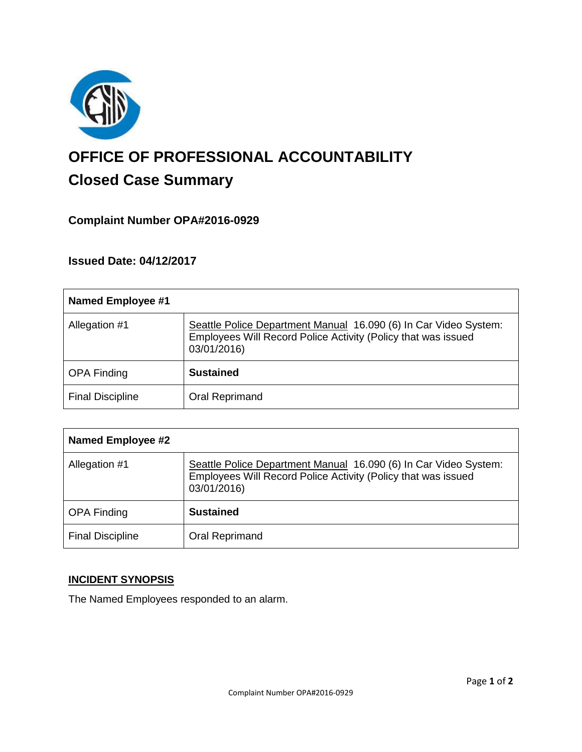

# **OFFICE OF PROFESSIONAL ACCOUNTABILITY Closed Case Summary**

## **Complaint Number OPA#2016-0929**

**Issued Date: 04/12/2017**

| Named Employee #1       |                                                                                                                                                  |
|-------------------------|--------------------------------------------------------------------------------------------------------------------------------------------------|
| Allegation #1           | Seattle Police Department Manual 16.090 (6) In Car Video System:<br>Employees Will Record Police Activity (Policy that was issued<br>03/01/2016) |
| <b>OPA Finding</b>      | <b>Sustained</b>                                                                                                                                 |
| <b>Final Discipline</b> | Oral Reprimand                                                                                                                                   |

| <b>Named Employee #2</b> |                                                                                                                                                  |
|--------------------------|--------------------------------------------------------------------------------------------------------------------------------------------------|
| Allegation #1            | Seattle Police Department Manual 16.090 (6) In Car Video System:<br>Employees Will Record Police Activity (Policy that was issued<br>03/01/2016) |
| <b>OPA Finding</b>       | <b>Sustained</b>                                                                                                                                 |
| <b>Final Discipline</b>  | Oral Reprimand                                                                                                                                   |

## **INCIDENT SYNOPSIS**

The Named Employees responded to an alarm.